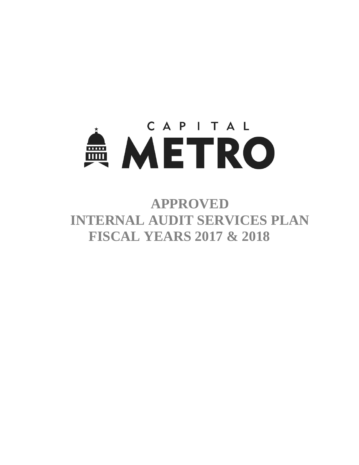

**APPROVED INTERNAL AUDIT SERVICES PLAN FISCAL YEARS 2017 & 2018**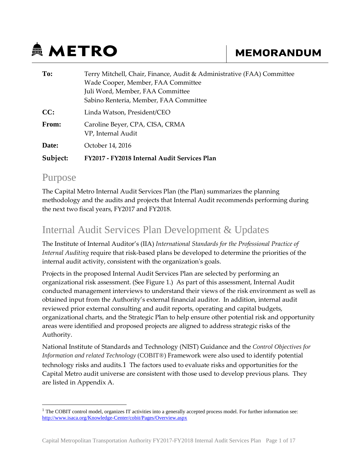# **鱼 METRO**

# **MEMORANDUM**

| To:      | Terry Mitchell, Chair, Finance, Audit & Administrative (FAA) Committee |
|----------|------------------------------------------------------------------------|
|          | Wade Cooper, Member, FAA Committee                                     |
|          | Juli Word, Member, FAA Committee                                       |
|          | Sabino Renteria, Member, FAA Committee                                 |
| CC:      | Linda Watson, President/CEO                                            |
| From:    | Caroline Beyer, CPA, CISA, CRMA<br>VP, Internal Audit                  |
| Date:    | October 14, 2016                                                       |
| Subject: | FY2017 - FY2018 Internal Audit Services Plan                           |

# Purpose

The Capital Metro Internal Audit Services Plan (the Plan) summarizes the planning methodology and the audits and projects that Internal Audit recommends performing during the next two fiscal years, FY2017 and FY2018.

# Internal Audit Services Plan Development & Updates

The Institute of Internal Auditor's (IIA) *International Standards for the Professional Practice of Internal Auditing* require that risk-based plans be developed to determine the priorities of the internal audit activity, consistent with the organization's goals.

Projects in the proposed Internal Audit Services Plan are selected by performing an organizational risk assessment. (See Figure 1.) As part of this assessment, Internal Audit conducted management interviews to understand their views of the risk environment as well as obtained input from the Authority's external financial auditor. In addition, internal audit reviewed prior external consulting and audit reports, operating and capital budgets, organizational charts, and the Strategic Plan to help ensure other potential risk and opportunity areas were identified and proposed projects are aligned to address strategic risks of the Authority.

National Institute of Standards and Technology (NIST) Guidance and the *Control Objectives for Information and related Technology* (COBIT®) Framework were also used to identify potential technology risks and audits.[1](#page-1-0) The factors used to evaluate risks and opportunities for the Capital Metro audit universe are consistent with those used to develop previous plans. They are listed in Appendix A.

<span id="page-1-0"></span><sup>&</sup>lt;sup>1</sup> The COBIT control model, organizes IT activities into a generally accepted process model. For further information see: <http://www.isaca.org/Knowledge-Center/cobit/Pages/Overview.aspx>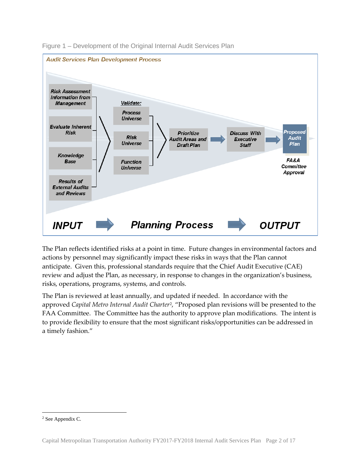

Figure 1 – Development of the Original Internal Audit Services Plan

The Plan reflects identified risks at a point in time. Future changes in environmental factors and actions by personnel may significantly impact these risks in ways that the Plan cannot anticipate. Given this, professional standards require that the Chief Audit Executive (CAE) review and adjust the Plan, as necessary, in response to changes in the organization's business, risks, operations, programs, systems, and controls.

The Plan is reviewed at least annually, and updated if needed. In accordance with the approved *Capital Metro Internal Audit Charter*[2](#page-2-0), "Proposed plan revisions will be presented to the FAA Committee. The Committee has the authority to approve plan modifications. The intent is to provide flexibility to ensure that the most significant risks/opportunities can be addressed in a timely fashion."

<span id="page-2-0"></span> <sup>2</sup> See Appendix C.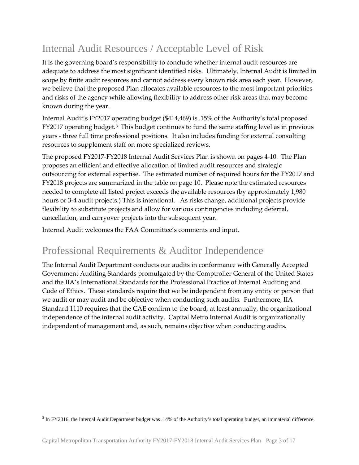# Internal Audit Resources / Acceptable Level of Risk

It is the governing board's responsibility to conclude whether internal audit resources are adequate to address the most significant identified risks. Ultimately, Internal Audit is limited in scope by finite audit resources and cannot address every known risk area each year. However, we believe that the proposed Plan allocates available resources to the most important priorities and risks of the agency while allowing flexibility to address other risk areas that may become known during the year.

Internal Audit's FY2017 operating budget (\$414,469) is .15% of the Authority's total proposed FY2017 operating budget.[3](#page-3-0) This budget continues to fund the same staffing level as in previous years - three full time professional positions. It also includes funding for external consulting resources to supplement staff on more specialized reviews.

The proposed FY2017-FY2018 Internal Audit Services Plan is shown on pages 4-10. The Plan proposes an efficient and effective allocation of limited audit resources and strategic outsourcing for external expertise. The estimated number of required hours for the FY2017 and FY2018 projects are summarized in the table on page 10. Please note the estimated resources needed to complete all listed project exceeds the available resources (by approximately 1,980 hours or 3-4 audit projects.) This is intentional. As risks change, additional projects provide flexibility to substitute projects and allow for various contingencies including deferral, cancellation, and carryover projects into the subsequent year.

Internal Audit welcomes the FAA Committee's comments and input.

# Professional Requirements & Auditor Independence

The Internal Audit Department conducts our audits in conformance with Generally Accepted Government Auditing Standards promulgated by the Comptroller General of the United States and the IIA's International Standards for the Professional Practice of Internal Auditing and Code of Ethics. These standards require that we be independent from any entity or person that we audit or may audit and be objective when conducting such audits. Furthermore, IIA Standard 1110 requires that the CAE confirm to the board, at least annually, the organizational independence of the internal audit activity. Capital Metro Internal Audit is organizationally independent of management and, as such, remains objective when conducting audits.

 $\overline{a}$ 

<span id="page-3-0"></span><sup>3</sup> In FY2016, the Internal Audit Department budget was .14% of the Authority's total operating budget, an immaterial difference.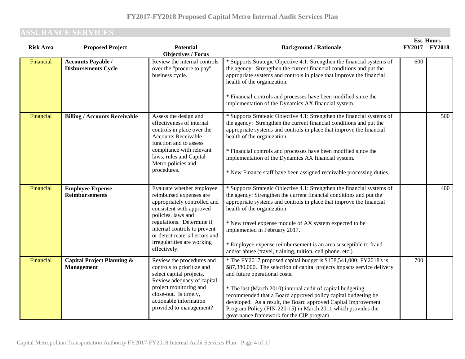# **ASSURANCE SERVICES**

| <b>Risk Area</b> | <b>Proposed Project</b>                                    | <b>Potential</b>                                                                                                                                                                                                                                                                   | <b>Background / Rationale</b>                                                                                                                                                                                                                                                                                                                                                                                                                                                                  |     | ем. пошу<br>FY2017 FY2018 |
|------------------|------------------------------------------------------------|------------------------------------------------------------------------------------------------------------------------------------------------------------------------------------------------------------------------------------------------------------------------------------|------------------------------------------------------------------------------------------------------------------------------------------------------------------------------------------------------------------------------------------------------------------------------------------------------------------------------------------------------------------------------------------------------------------------------------------------------------------------------------------------|-----|---------------------------|
| Financial        | <b>Accounts Payable /</b><br><b>Disbursements Cycle</b>    | <b>Objectives / Focus</b><br>Review the internal controls<br>over the "procure to pay"<br>business cycle.                                                                                                                                                                          | * Supports Strategic Objective 4.1: Strengthen the financial systems of<br>the agency: Strengthen the current financial conditions and put the<br>appropriate systems and controls in place that improve the financial<br>health of the organization.<br>* Financial controls and processes have been modified since the<br>implementation of the Dynamics AX financial system.                                                                                                                | 600 |                           |
| Financial        | <b>Billing / Accounts Receivable</b>                       | Assess the design and<br>effectiveness of internal<br>controls in place over the<br><b>Accounts Receivable</b><br>function and to assess<br>compliance with relevant<br>laws, rules and Capital<br>Metro policies and<br>procedures.                                               | * Supports Strategic Objective 4.1: Strengthen the financial systems of<br>the agency: Strengthen the current financial conditions and put the<br>appropriate systems and controls in place that improve the financial<br>health of the organization.<br>* Financial controls and processes have been modified since the<br>implementation of the Dynamics AX financial system.<br>* New Finance staff have been assigned receivable processing duties.                                        |     | 500                       |
| Financial        | <b>Employee Expense</b><br><b>Reimbursements</b>           | Evaluate whether employee<br>reimbursed expenses are<br>appropriately controlled and<br>consistent with approved<br>policies, laws and<br>regulations. Determine if<br>internal controls to prevent<br>or detect material errors and<br>irregularities are working<br>effectively. | * Supports Strategic Objective 4.1: Strengthen the financial systems of<br>the agency: Strengthen the current financial conditions and put the<br>appropriate systems and controls in place that improve the financial<br>health of the organization<br>* New travel expense module of AX system expected to be<br>implemented in February 2017.<br>* Employee expense reimbursement is an area susceptible to fraud<br>and/or abuse (travel, training, tuition, cell phone, etc.)             |     | 400                       |
| Financial        | <b>Capital Project Planning &amp;</b><br><b>Management</b> | Review the procedures and<br>controls to prioritize and<br>select capital projects.<br>Review adequacy of capital<br>project monitoring and<br>close-out. Is timely,<br>actionable information<br>provided to management?                                                          | * The FY2017 proposed capital budget is \$158,541,000; FY2018's is<br>\$87,380,000. The selection of capital projects impacts service delivery<br>and future operational costs.<br>* The last (March 2010) internal audit of capital budgeting<br>recommended that a Board approved policy capital budgeting be<br>developed. As a result, the Board approved Capital Improvement<br>Program Policy (FIN-220-15) in March 2011 which provides the<br>governance framework for the CIP program. | 700 |                           |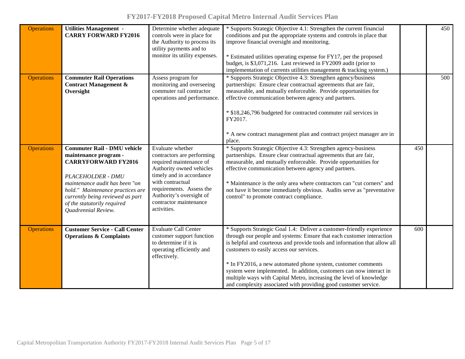| <b>Operations</b> | <b>Utilities Management -</b><br><b>CARRY FORWARD FY2016</b>                                                                                                                                                                                                                          | Determine whether adequate<br>controls were in place for<br>the Authority to process its<br>utility payments and to<br>monitor its utility expenses.                                                                                                   | * Supports Strategic Objective 4.1: Strengthen the current financial<br>conditions and put the appropriate systems and controls in place that<br>improve financial oversight and monitoring.<br>* Estimated utilities operating expense for FY17, per the proposed<br>budget, is \$3,071,216. Last reviewed in FY2009 audit (prior to<br>implementation of currents utilities management & tracking system.)                                                                                                                                             |     | 450 |
|-------------------|---------------------------------------------------------------------------------------------------------------------------------------------------------------------------------------------------------------------------------------------------------------------------------------|--------------------------------------------------------------------------------------------------------------------------------------------------------------------------------------------------------------------------------------------------------|----------------------------------------------------------------------------------------------------------------------------------------------------------------------------------------------------------------------------------------------------------------------------------------------------------------------------------------------------------------------------------------------------------------------------------------------------------------------------------------------------------------------------------------------------------|-----|-----|
| <b>Operations</b> | <b>Commuter Rail Operations</b><br><b>Contract Management &amp;</b><br>Oversight                                                                                                                                                                                                      | Assess program for<br>monitoring and overseeing<br>commuter rail contractor<br>operations and performance.                                                                                                                                             | * Supports Strategic Objective 4.3: Strengthen agency/business<br>partnerships: Ensure clear contractual agreements that are fair,<br>measurable, and mutually enforceable. Provide opportunities for<br>effective communication between agency and partners.<br>* \$18,246,796 budgeted for contracted commuter rail services in<br>FY2017.<br>* A new contract management plan and contract project manager are in<br>place.                                                                                                                           |     | 500 |
| <b>Operations</b> | <b>Commuter Rail - DMU vehicle</b><br>maintenance program -<br><b>CARRYFORWARD FY2016</b><br><b>PLACEHOLDER - DMU</b><br>maintenance audit has been "on<br>hold." Maintenance practices are<br>currently being reviewed as part<br>of the statutorily required<br>Quadrennial Review. | Evaluate whether<br>contractors are performing<br>required maintenance of<br>Authority owned vehicles<br>timely and in accordance<br>with contractual<br>requirements. Assess the<br>Authority's oversight of<br>contractor maintenance<br>activities. | * Supports Strategic Objective 4.3: Strengthen agency-business<br>partnerships. Ensure clear contractual agreements that are fair,<br>measurable, and mutually enforceable. Provide opportunities for<br>effective communication between agency and partners.<br>* Maintenance is the only area where contractors can "cut corners" and<br>not have it become immediately obvious. Audits serve as "preventative<br>control" to promote contract compliance.                                                                                             | 450 |     |
| <b>Operations</b> | <b>Customer Service - Call Center</b><br><b>Operations &amp; Complaints</b>                                                                                                                                                                                                           | <b>Evaluate Call Center</b><br>customer support function<br>to determine if it is<br>operating efficiently and<br>effectively.                                                                                                                         | * Supports Strategic Goal 1.4: Deliver a customer-friendly experience<br>through our people and systems: Ensure that each customer interaction<br>is helpful and courteous and provide tools and information that allow all<br>customers to easily access our services.<br>* In FY2016, a new automated phone system, customer comments<br>system were implemented. In addition, customers can now interact in<br>multiple ways with Capital Metro, increasing the level of knowledge<br>and complexity associated with providing good customer service. | 600 |     |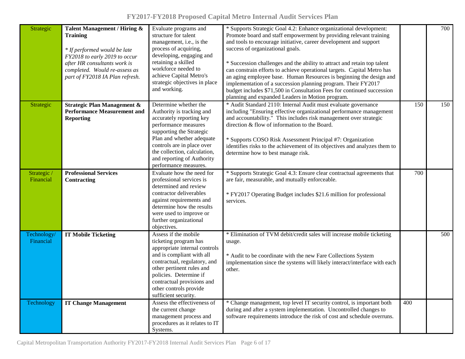| FY2017-FY2018 Proposed Capital Metro Internal Audit Services Plan |  |  |  |
|-------------------------------------------------------------------|--|--|--|
|-------------------------------------------------------------------|--|--|--|

| Strategic                | Talent Management / Hiring &<br><b>Training</b><br>* If performed would be late<br>FY2018 to early 2019 to occur<br>after HR consultants work is<br>completed. Would re-assess as<br>part of FY2018 IA Plan refresh. | Evaluate programs and<br>structure for talent<br>management, i.e., is the<br>process of acquiring,<br>developing, engaging and<br>retaining a skilled<br>workforce needed to<br>achieve Capital Metro's<br>strategic objectives in place<br>and working.                             | * Supports Strategic Goal 4.2: Enhance organizational development:<br>Promote board and staff empowerment by providing relevant training<br>and tools to encourage initiative, career development and support<br>success of organizational goals.<br>* Succession challenges and the ability to attract and retain top talent<br>can constrain efforts to achieve operational targets. Capital Metro has<br>an aging employee base. Human Resources is beginning the design and<br>implementation of a succession planning program. Their FY2017<br>budget includes \$71,500 in Consultation Fees for continued succession<br>planning and expanded Leaders in Motion program. |     | 700 |
|--------------------------|----------------------------------------------------------------------------------------------------------------------------------------------------------------------------------------------------------------------|--------------------------------------------------------------------------------------------------------------------------------------------------------------------------------------------------------------------------------------------------------------------------------------|--------------------------------------------------------------------------------------------------------------------------------------------------------------------------------------------------------------------------------------------------------------------------------------------------------------------------------------------------------------------------------------------------------------------------------------------------------------------------------------------------------------------------------------------------------------------------------------------------------------------------------------------------------------------------------|-----|-----|
| Strategic                | <b>Strategic Plan Management &amp;</b><br><b>Performance Measurement and</b><br><b>Reporting</b>                                                                                                                     | Determine whether the<br>Authority is tracking and<br>accurately reporting key<br>performance measures<br>supporting the Strategic<br>Plan and whether adequate<br>controls are in place over<br>the collection, calculation,<br>and reporting of Authority<br>performance measures. | * Audit Standard 2110: Internal Audit must evaluate governance<br>including "Ensuring effective organizational performance management<br>and accountability." This includes risk management over strategic<br>direction & flow of information to the Board.<br>* Supports COSO Risk Assessment Principal #7: Organization<br>identifies risks to the achievement of its objectives and analyzes them to<br>determine how to best manage risk.                                                                                                                                                                                                                                  | 150 | 150 |
| Strategic /<br>Financial | <b>Professional Services</b><br>Contracting                                                                                                                                                                          | Evaluate how the need for<br>professional services is<br>determined and review<br>contractor deliverables<br>against requirements and<br>determine how the results<br>were used to improve or<br>further organizational<br>objectives.                                               | * Supports Strategic Goal 4.3: Ensure clear contractual agreements that<br>are fair, measurable, and mutually enforceable.<br>* FY2017 Operating Budget includes \$21.6 million for professional<br>services.                                                                                                                                                                                                                                                                                                                                                                                                                                                                  | 700 |     |
| Technology/<br>Financial | <b>IT Mobile Ticketing</b>                                                                                                                                                                                           | Assess if the mobile<br>ticketing program has<br>appropriate internal controls<br>and is compliant with all<br>contractual, regulatory, and<br>other pertinent rules and<br>policies. Determine if<br>contractual provisions and<br>other controls provide<br>sufficient security.   | * Elimination of TVM debit/credit sales will increase mobile ticketing<br>usage.<br>* Audit to be coordinate with the new Fare Collections System<br>implementation since the systems will likely interact/interface with each<br>other.                                                                                                                                                                                                                                                                                                                                                                                                                                       |     | 500 |
| Technology               | <b>IT Change Management</b>                                                                                                                                                                                          | Assess the effectiveness of<br>the current change<br>management process and<br>procedures as it relates to IT<br>Systems.                                                                                                                                                            | * Change management, top level IT security control, is important both<br>during and after a system implementation. Uncontrolled changes to<br>software requirements introduce the risk of cost and schedule overruns.                                                                                                                                                                                                                                                                                                                                                                                                                                                          | 400 |     |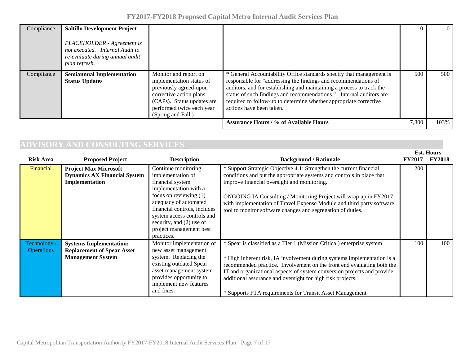| FY2017-FY2018 Proposed Capital Metro Internal Audit Services Plan |  |  |  |  |  |
|-------------------------------------------------------------------|--|--|--|--|--|
|-------------------------------------------------------------------|--|--|--|--|--|

| Compliance | <b>Saltillo Development Project</b><br>PLACEHOLDER - Agreement is<br>not executed. Internal Audit to<br>re-evaluate during annual audit<br>plan refresh. |                                                                                                                                                                                         |                                                                                                                                                                                                                                                                                                                                                                                          |       |      |
|------------|----------------------------------------------------------------------------------------------------------------------------------------------------------|-----------------------------------------------------------------------------------------------------------------------------------------------------------------------------------------|------------------------------------------------------------------------------------------------------------------------------------------------------------------------------------------------------------------------------------------------------------------------------------------------------------------------------------------------------------------------------------------|-------|------|
| Compliance | <b>Semiannual Implementation</b><br><b>Status Updates</b>                                                                                                | Monitor and report on<br>implementation status of<br>previously agreed-upon<br>corrective action plans<br>(CAPs). Status updates are<br>performed twice each year<br>(Spring and Fall.) | * General Accountability Office standards specify that management is<br>responsible for "addressing the findings and recommendations of<br>auditors, and for establishing and maintaining a process to track the<br>status of such findings and recommendations." Internal auditors are<br>required to follow-up to determine whether appropriate corrective<br>actions have been taken. | 500   | 500  |
|            |                                                                                                                                                          |                                                                                                                                                                                         | <b>Assurance Hours / % of Available Hours</b>                                                                                                                                                                                                                                                                                                                                            | 7,800 | 103% |

# **ADVISORY AND CONSULTING SERVICES\_\_\_\_\_\_\_\_\_\_\_\_\_\_\_\_\_\_\_\_\_\_\_\_\_\_\_\_\_\_\_\_\_\_\_\_\_\_\_\_\_\_\_\_\_\_\_\_\_\_\_\_\_\_\_\_\_\_\_\_\_\_\_ Est. Hours**

| <b>Risk Area</b>                | <b>Proposed Project</b>                                                                         | <b>Description</b>                                                                                                                                                                                                                                                            | <b>Background / Rationale</b>                                                                                                                                                                                                                                                                                                                                                                                                    | <b>FY2017</b> | -ем. пошу<br><b>FY2018</b> |
|---------------------------------|-------------------------------------------------------------------------------------------------|-------------------------------------------------------------------------------------------------------------------------------------------------------------------------------------------------------------------------------------------------------------------------------|----------------------------------------------------------------------------------------------------------------------------------------------------------------------------------------------------------------------------------------------------------------------------------------------------------------------------------------------------------------------------------------------------------------------------------|---------------|----------------------------|
| Financial                       | <b>Project Max Microsoft</b><br><b>Dynamics AX Financial System</b><br>Implementation           | Continue monitoring<br>implementation of<br>financial system<br>implementation with a<br>focus on reviewing $(1)$<br>adequacy of automated<br>financial controls, includes<br>system access controls and<br>security, and (2) use of<br>project management best<br>practices. | * Support Strategic Objective 4.1: Strengthen the current financial<br>conditions and put the appropriate systems and controls in place that<br>improve financial oversight and monitoring.<br>ONGOING IA Consulting / Monitoring Project will wrap up in FY2017<br>with implementation of Travel Expense Module and third party software<br>tool to monitor software changes and segregation of duties.                         | 200           |                            |
| Technology<br><b>Operations</b> | <b>Systems Implementation:</b><br><b>Replacement of Spear Asset</b><br><b>Management System</b> | Monitor implementation of<br>new asset management<br>system. Replacing the<br>existing outdated Spear<br>asset management system<br>provides opportunity to<br>implement new features<br>and fixes.                                                                           | * Spear is classified as a Tier 1 (Mission Critical) enterprise system<br>* High inherent risk, IA involvement during systems implementation is a<br>recommended practice. Involvement on the front end evaluating both the<br>IT and organizational aspects of system conversion projects and provide<br>additional assurance and oversight for high risk projects.<br>* Supports FTA requirements for Transit Asset Management | 100           | 100                        |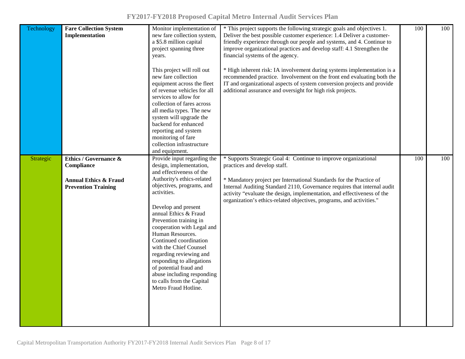| Technology | <b>Fare Collection System</b><br>Implementation                                                                  | Monitor implementation of<br>new fare collection system,<br>a \$5.8 million capital<br>project spanning three<br>years.<br>This project will roll out<br>new fare collection<br>equipment across the fleet<br>of revenue vehicles for all<br>services to allow for<br>collection of fares across<br>all media types. The new<br>system will upgrade the<br>backend for enhanced<br>reporting and system<br>monitoring of fare<br>collection infrastructure<br>and equipment.                                      | * This project supports the following strategic goals and objectives 1.<br>Deliver the best possible customer experience: 1.4 Deliver a customer-<br>friendly experience through our people and systems, and 4. Continue to<br>improve organizational practices and develop staff: 4.1 Strengthen the<br>financial systems of the agency.<br>* High inherent risk: IA involvement during systems implementation is a<br>recommended practice. Involvement on the front end evaluating both the<br>IT and organizational aspects of system conversion projects and provide<br>additional assurance and oversight for high risk projects. | 100 | 100 |
|------------|------------------------------------------------------------------------------------------------------------------|-------------------------------------------------------------------------------------------------------------------------------------------------------------------------------------------------------------------------------------------------------------------------------------------------------------------------------------------------------------------------------------------------------------------------------------------------------------------------------------------------------------------|-----------------------------------------------------------------------------------------------------------------------------------------------------------------------------------------------------------------------------------------------------------------------------------------------------------------------------------------------------------------------------------------------------------------------------------------------------------------------------------------------------------------------------------------------------------------------------------------------------------------------------------------|-----|-----|
| Strategic  | <b>Ethics / Governance &amp;</b><br>Compliance<br><b>Annual Ethics &amp; Fraud</b><br><b>Prevention Training</b> | Provide input regarding the<br>design, implementation,<br>and effectiveness of the<br>Authority's ethics-related<br>objectives, programs, and<br>activities.<br>Develop and present<br>annual Ethics & Fraud<br>Prevention training in<br>cooperation with Legal and<br>Human Resources.<br>Continued coordination<br>with the Chief Counsel<br>regarding reviewing and<br>responding to allegations<br>of potential fraud and<br>abuse including responding<br>to calls from the Capital<br>Metro Fraud Hotline. | * Supports Strategic Goal 4: Continue to improve organizational<br>practices and develop staff.<br>* Mandatory project per International Standards for the Practice of<br>Internal Auditing Standard 2110, Governance requires that internal audit<br>activity "evaluate the design, implementation, and effectiveness of the<br>organization's ethics-related objectives, programs, and activities."                                                                                                                                                                                                                                   | 100 | 100 |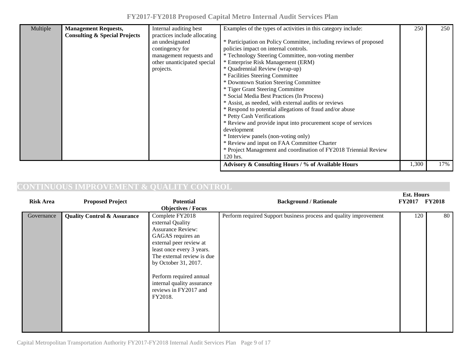| FY2017-FY2018 Proposed Capital Metro Internal Audit Services Plan |  |  |  |  |  |  |  |
|-------------------------------------------------------------------|--|--|--|--|--|--|--|
|-------------------------------------------------------------------|--|--|--|--|--|--|--|

| Multiple | <b>Management Requests,</b><br><b>Consulting &amp; Special Projects</b> | Internal auditing best<br>practices include allocating<br>an undesignated<br>contingency for<br>management requests and<br>other unanticipated special<br>projects. | Examples of the types of activities in this category include:<br>* Participation on Policy Committee, including reviews of proposed<br>policies impact on internal controls.<br>* Technology Steering Committee, non-voting member<br>* Enterprise Risk Management (ERM)<br>* Quadrennial Review (wrap-up)<br>* Facilities Steering Committee<br>* Downtown Station Steering Committee<br>* Tiger Grant Steering Committee<br>* Social Media Best Practices (In Process)<br>* Assist, as needed, with external audits or reviews<br>* Respond to potential allegations of fraud and/or abuse<br>* Petty Cash Verifications<br>* Review and provide input into procurement scope of services<br>development<br>* Interview panels (non-voting only)<br>* Review and input on FAA Committee Charter<br>* Project Management and coordination of FY2018 Triennial Review | 250   | 250 |
|----------|-------------------------------------------------------------------------|---------------------------------------------------------------------------------------------------------------------------------------------------------------------|-----------------------------------------------------------------------------------------------------------------------------------------------------------------------------------------------------------------------------------------------------------------------------------------------------------------------------------------------------------------------------------------------------------------------------------------------------------------------------------------------------------------------------------------------------------------------------------------------------------------------------------------------------------------------------------------------------------------------------------------------------------------------------------------------------------------------------------------------------------------------|-------|-----|
|          |                                                                         |                                                                                                                                                                     | 120 hrs.<br>Advisory & Consulting Hours / % of Available Hours                                                                                                                                                                                                                                                                                                                                                                                                                                                                                                                                                                                                                                                                                                                                                                                                        | 1,300 | 17% |

# **CONTINUOUS IMPROVEMENT & QUALITY CONTROL**

| <b>Risk Area</b> | <b>Proposed Project</b>                | <b>Potential</b>                                                                                                                                                                                                                                                                                | <b>Background / Rationale</b>                                     | <b>ESL. HOUTS</b><br><b>FY2017</b> | <b>FY2018</b> |
|------------------|----------------------------------------|-------------------------------------------------------------------------------------------------------------------------------------------------------------------------------------------------------------------------------------------------------------------------------------------------|-------------------------------------------------------------------|------------------------------------|---------------|
|                  |                                        | <b>Objectives / Focus</b>                                                                                                                                                                                                                                                                       |                                                                   |                                    |               |
| Governance       | <b>Quality Control &amp; Assurance</b> | Complete FY2018<br>external Quality<br><b>Assurance Review:</b><br>GAGAS requires an<br>external peer review at<br>least once every 3 years.<br>The external review is due<br>by October 31, 2017.<br>Perform required annual<br>internal quality assurance<br>reviews in FY2017 and<br>FY2018. | Perform required Support business process and quality improvement | 120                                | 80            |

Capital Metropolitan Transportation Authority FY2017-FY2018 Internal Audit Services Plan Page 9 of 17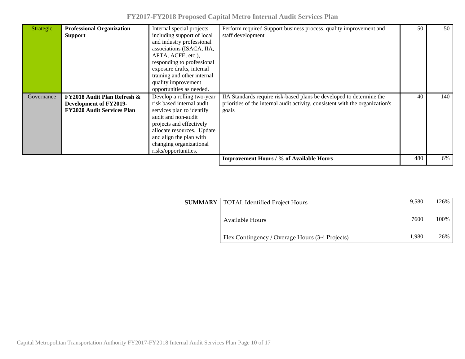| Strategic  | <b>Professional Organization</b><br><b>Support</b>                                                    | Internal special projects<br>including support of local<br>and industry professional<br>associations (ISACA, IIA,<br>APTA, ACFE, etc.),<br>responding to professional<br>exposure drafts, internal<br>training and other internal<br>quality improvement<br>opportunities as needed. | Perform required Support business process, quality improvement and<br>staff development                                                                        |     | 50  |
|------------|-------------------------------------------------------------------------------------------------------|--------------------------------------------------------------------------------------------------------------------------------------------------------------------------------------------------------------------------------------------------------------------------------------|----------------------------------------------------------------------------------------------------------------------------------------------------------------|-----|-----|
| Governance | <b>FY2018 Audit Plan Refresh &amp;</b><br>Development of FY2019-<br><b>FY2020 Audit Services Plan</b> | Develop a rolling two-year<br>risk based internal audit<br>services plan to identify<br>audit and non-audit<br>projects and effectively<br>allocate resources. Update<br>and align the plan with<br>changing organizational<br>risks/opportunities.                                  | IIA Standards require risk-based plans be developed to determine the<br>priorities of the internal audit activity, consistent with the organization's<br>goals | 40  | 140 |
|            |                                                                                                       |                                                                                                                                                                                                                                                                                      | <b>Improvement Hours / % of Available Hours</b>                                                                                                                | 480 | 6%  |

| <b>SUMMARY</b> | TOTAL Identified Project Hours                  | 9.580 | 126%  |
|----------------|-------------------------------------------------|-------|-------|
|                | Available Hours                                 | 7600  | 100\% |
|                | Flex Contingency / Overage Hours (3-4 Projects) | 1.980 | 26%   |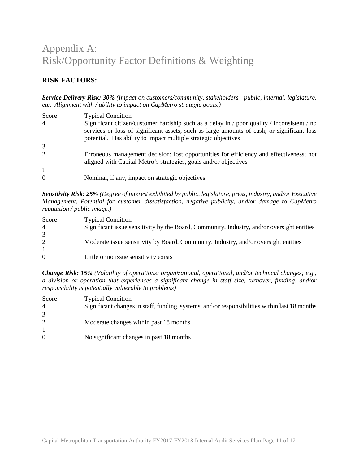# Appendix A: Risk/Opportunity Factor Definitions & Weighting

## **RISK FACTORS:**

*Service Delivery Risk: 30% (Impact on customers/community, stakeholders - public, internal, legislature, etc. Alignment with / ability to impact on CapMetro strategic goals.)*

| Score          | <b>Typical Condition</b>                                                                                         |
|----------------|------------------------------------------------------------------------------------------------------------------|
| $\overline{4}$ | Significant citizen/customer hardship such as a delay in $\prime$ poor quality $\prime$ inconsistent $\prime$ no |
|                | services or loss of significant assets, such as large amounts of cash; or significant loss                       |
|                | potential. Has ability to impact multiple strategic objectives                                                   |
| 3              |                                                                                                                  |
| 2              | Erroneous management decision; lost opportunities for efficiency and effectiveness; not                          |
|                | aligned with Capital Metro's strategies, goals and/or objectives                                                 |
| $\mathbf{1}$   |                                                                                                                  |
| $\Omega$       | Nominal, if any, impact on strategic objectives                                                                  |

*Sensitivity Risk: 25% (Degree of interest exhibited by public, legislature, press, industry, and/or Executive Management, Potential for customer dissatisfaction, negative publicity, and/or damage to CapMetro reputation / public image.)*

| <b>Score</b>   | <b>Typical Condition</b>                                                                   |
|----------------|--------------------------------------------------------------------------------------------|
| $\overline{4}$ | Significant issue sensitivity by the Board, Community, Industry, and/or oversight entities |
|                |                                                                                            |
|                | Moderate issue sensitivity by Board, Community, Industry, and/or oversight entities        |
|                |                                                                                            |
| $\Omega$       | Little or no issue sensitivity exists                                                      |

*Change Risk: 15% (Volatility of operations; organizational, operational, and/or technical changes; e.g., a division or operation that experiences a significant change in staff size, turnover, funding, and/or responsibility is potentially vulnerable to problems)*

| <b>Score</b>   | <b>Typical Condition</b>                                                                      |
|----------------|-----------------------------------------------------------------------------------------------|
| $\overline{4}$ | Significant changes in staff, funding, systems, and/or responsibilities within last 18 months |
|                |                                                                                               |
|                | Moderate changes within past 18 months                                                        |
|                |                                                                                               |
| $\Omega$       | No significant changes in past 18 months                                                      |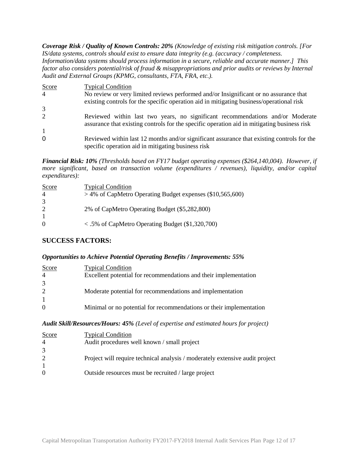*Coverage Risk / Quality of Known Controls: 20% (Knowledge of existing risk mitigation controls. [For IS/data systems, controls should exist to ensure data integrity (e.g. (accuracy / completeness. Information/data systems should process information in a secure, reliable and accurate manner.] This factor also considers potential/risk of fraud & misappropriations and prior audits or reviews by Internal Audit and External Groups (KPMG, consultants, FTA, FRA, etc.).*

| Score          | <b>Typical Condition</b>                                                                                                                                                      |
|----------------|-------------------------------------------------------------------------------------------------------------------------------------------------------------------------------|
| $\overline{4}$ | No review or very limited reviews performed and/or Insignificant or no assurance that                                                                                         |
|                | existing controls for the specific operation aid in mitigating business/operational risk                                                                                      |
| 3              |                                                                                                                                                                               |
| 2              | Reviewed within last two years, no significant recommendations and/or Moderate<br>assurance that existing controls for the specific operation aid in mitigating business risk |
| 1              |                                                                                                                                                                               |
| $\overline{0}$ | Reviewed within last 12 months and/or significant assurance that existing controls for the<br>specific operation aid in mitigating business risk                              |

*Financial Risk: 10% (Thresholds based on FY17 budget operating expenses (\$264,140,004). However, if more significant, based on transaction volume (expenditures / revenues), liquidity, and/or capital expenditures):* 

| Score            | <b>Typical Condition</b>                                           |
|------------------|--------------------------------------------------------------------|
|                  | $>$ 4% of CapMetro Operating Budget expenses (\$10,565,600)        |
|                  |                                                                    |
|                  | 2% of CapMetro Operating Budget (\$5,282,800)                      |
|                  |                                                                    |
| $\left( \right)$ | $\langle 0.5\% \rangle$ of CapMetro Operating Budget (\$1,320,700) |

### **SUCCESS FACTORS:**

### *Opportunities to Achieve Potential Operating Benefits / Improvements: 55%*

| <b>Score</b><br>$\overline{4}$ | <b>Typical Condition</b><br>Excellent potential for recommendations and their implementation |
|--------------------------------|----------------------------------------------------------------------------------------------|
| 3                              |                                                                                              |
| 2                              | Moderate potential for recommendations and implementation                                    |
| $\mathbf{1}$                   |                                                                                              |
| $\Omega$                       | Minimal or no potential for recommendations or their implementation                          |

### *Audit Skill/Resources/Hours: 45% (Level of expertise and estimated hours for project)*

| <b>Score</b><br>$\overline{4}$ | <b>Typical Condition</b><br>Audit procedures well known / small project      |
|--------------------------------|------------------------------------------------------------------------------|
| 3                              |                                                                              |
| 2                              | Project will require technical analysis / moderately extensive audit project |
|                                |                                                                              |
| $\Omega$                       | Outside resources must be recruited / large project                          |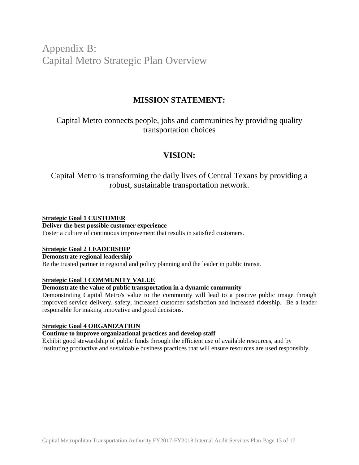Appendix B: Capital Metro Strategic Plan Overview

# **MISSION STATEMENT:**

Capital Metro connects people, jobs and communities by providing quality transportation choices

# **VISION:**

Capital Metro is transforming the daily lives of Central Texans by providing a robust, sustainable transportation network.

### **Strategic Goal 1 CUSTOMER**

### **Deliver the best possible customer experience**

Foster a culture of continuous improvement that results in satisfied customers.

### **Strategic Goal 2 LEADERSHIP**

#### **Demonstrate regional leadership**

Be the trusted partner in regional and policy planning and the leader in public transit.

### **Strategic Goal 3 COMMUNITY VALUE**

#### **Demonstrate the value of public transportation in a dynamic community**

Demonstrating Capital Metro's value to the community will lead to a positive public image through improved service delivery, safety, increased customer satisfaction and increased ridership. Be a leader responsible for making innovative and good decisions.

#### **Strategic Goal 4 ORGANIZATION**

### **Continue to improve organizational practices and develop staff**

Exhibit good stewardship of public funds through the efficient use of available resources, and by instituting productive and sustainable business practices that will ensure resources are used responsibly.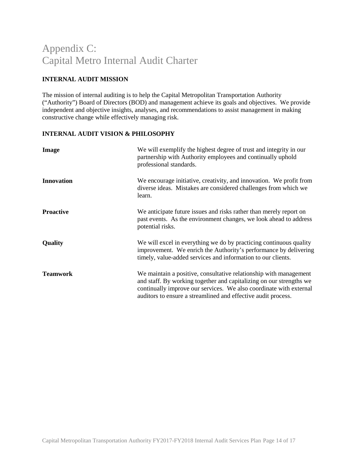# Appendix C: Capital Metro Internal Audit Charter

### **INTERNAL AUDIT MISSION**

The mission of internal auditing is to help the Capital Metropolitan Transportation Authority ("Authority") Board of Directors (BOD) and management achieve its goals and objectives. We provide independent and objective insights, analyses, and recommendations to assist management in making constructive change while effectively managing risk.

### **INTERNAL AUDIT VISION & PHILOSOPHY**

| <b>Image</b>      | We will exemplify the highest degree of trust and integrity in our<br>partnership with Authority employees and continually uphold<br>professional standards.                                                                                                                    |
|-------------------|---------------------------------------------------------------------------------------------------------------------------------------------------------------------------------------------------------------------------------------------------------------------------------|
| <b>Innovation</b> | We encourage initiative, creativity, and innovation. We profit from<br>diverse ideas. Mistakes are considered challenges from which we<br>learn.                                                                                                                                |
| <b>Proactive</b>  | We anticipate future issues and risks rather than merely report on<br>past events. As the environment changes, we look ahead to address<br>potential risks.                                                                                                                     |
| <b>Quality</b>    | We will excel in everything we do by practicing continuous quality<br>improvement. We enrich the Authority's performance by delivering<br>timely, value-added services and information to our clients.                                                                          |
| <b>Teamwork</b>   | We maintain a positive, consultative relationship with management<br>and staff. By working together and capitalizing on our strengths we<br>continually improve our services. We also coordinate with external<br>auditors to ensure a streamlined and effective audit process. |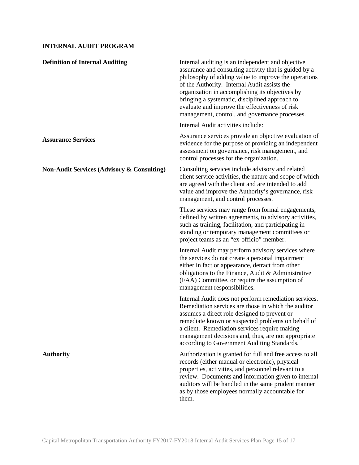### **INTERNAL AUDIT PROGRAM**

| <b>Definition of Internal Auditing</b>                | Internal auditing is an independent and objective<br>assurance and consulting activity that is guided by a<br>philosophy of adding value to improve the operations<br>of the Authority. Internal Audit assists the<br>organization in accomplishing its objectives by<br>bringing a systematic, disciplined approach to<br>evaluate and improve the effectiveness of risk<br>management, control, and governance processes. |
|-------------------------------------------------------|-----------------------------------------------------------------------------------------------------------------------------------------------------------------------------------------------------------------------------------------------------------------------------------------------------------------------------------------------------------------------------------------------------------------------------|
|                                                       | Internal Audit activities include:                                                                                                                                                                                                                                                                                                                                                                                          |
| <b>Assurance Services</b>                             | Assurance services provide an objective evaluation of<br>evidence for the purpose of providing an independent<br>assessment on governance, risk management, and<br>control processes for the organization.                                                                                                                                                                                                                  |
| <b>Non-Audit Services (Advisory &amp; Consulting)</b> | Consulting services include advisory and related<br>client service activities, the nature and scope of which<br>are agreed with the client and are intended to add<br>value and improve the Authority's governance, risk<br>management, and control processes.                                                                                                                                                              |
|                                                       | These services may range from formal engagements,<br>defined by written agreements, to advisory activities,<br>such as training, facilitation, and participating in<br>standing or temporary management committees or<br>project teams as an "ex-officio" member.                                                                                                                                                           |
|                                                       | Internal Audit may perform advisory services where<br>the services do not create a personal impairment<br>either in fact or appearance, detract from other<br>obligations to the Finance, Audit & Administrative<br>(FAA) Committee, or require the assumption of<br>management responsibilities.                                                                                                                           |
|                                                       | Internal Audit does not perform remediation services.<br>Remediation services are those in which the auditor<br>assumes a direct role designed to prevent or<br>remediate known or suspected problems on behalf of<br>a client. Remediation services require making<br>management decisions and, thus, are not appropriate<br>according to Government Auditing Standards.                                                   |
| <b>Authority</b>                                      | Authorization is granted for full and free access to all<br>records (either manual or electronic), physical<br>properties, activities, and personnel relevant to a<br>review. Documents and information given to internal<br>auditors will be handled in the same prudent manner<br>as by those employees normally accountable for<br>them.                                                                                 |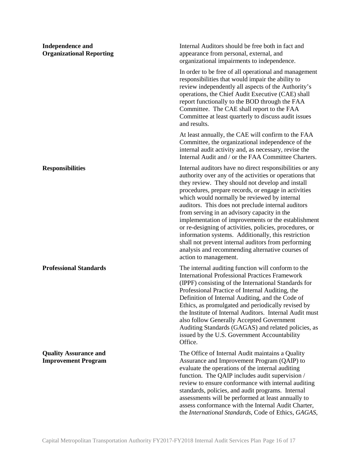| <b>Independence and</b><br><b>Organizational Reporting</b> | Internal Auditors should be free both in fact and<br>appearance from personal, external, and<br>organizational impairments to independence.                                                                                                                                                                                                                                                                                                                                                                                                                                                                                                                                                       |
|------------------------------------------------------------|---------------------------------------------------------------------------------------------------------------------------------------------------------------------------------------------------------------------------------------------------------------------------------------------------------------------------------------------------------------------------------------------------------------------------------------------------------------------------------------------------------------------------------------------------------------------------------------------------------------------------------------------------------------------------------------------------|
|                                                            | In order to be free of all operational and management<br>responsibilities that would impair the ability to<br>review independently all aspects of the Authority's<br>operations, the Chief Audit Executive (CAE) shall<br>report functionally to the BOD through the FAA<br>Committee. The CAE shall report to the FAA<br>Committee at least quarterly to discuss audit issues<br>and results.                                                                                                                                                                                                                                                                                                    |
|                                                            | At least annually, the CAE will confirm to the FAA<br>Committee, the organizational independence of the<br>internal audit activity and, as necessary, revise the<br>Internal Audit and / or the FAA Committee Charters.                                                                                                                                                                                                                                                                                                                                                                                                                                                                           |
| <b>Responsibilities</b>                                    | Internal auditors have no direct responsibilities or any<br>authority over any of the activities or operations that<br>they review. They should not develop and install<br>procedures, prepare records, or engage in activities<br>which would normally be reviewed by internal<br>auditors. This does not preclude internal auditors<br>from serving in an advisory capacity in the<br>implementation of improvements or the establishment<br>or re-designing of activities, policies, procedures, or<br>information systems. Additionally, this restriction<br>shall not prevent internal auditors from performing<br>analysis and recommending alternative courses of<br>action to management. |
| <b>Professional Standards</b>                              | The internal auditing function will conform to the<br><b>International Professional Practices Framework</b><br>(IPPF) consisting of the International Standards for<br>Professional Practice of Internal Auditing, the<br>Definition of Internal Auditing, and the Code of<br>Ethics, as promulgated and periodically revised by<br>the Institute of Internal Auditors. Internal Audit must<br>also follow Generally Accepted Government<br>Auditing Standards (GAGAS) and related policies, as<br>issued by the U.S. Government Accountability<br>Office.                                                                                                                                        |
| <b>Quality Assurance and</b><br><b>Improvement Program</b> | The Office of Internal Audit maintains a Quality<br>Assurance and Improvement Program (QAIP) to<br>evaluate the operations of the internal auditing<br>function. The QAIP includes audit supervision /<br>review to ensure conformance with internal auditing<br>standards, policies, and audit programs. Internal<br>assessments will be performed at least annually to<br>assess conformance with the Internal Audit Charter,<br>the International Standards, Code of Ethics, GAGAS,                                                                                                                                                                                                            |